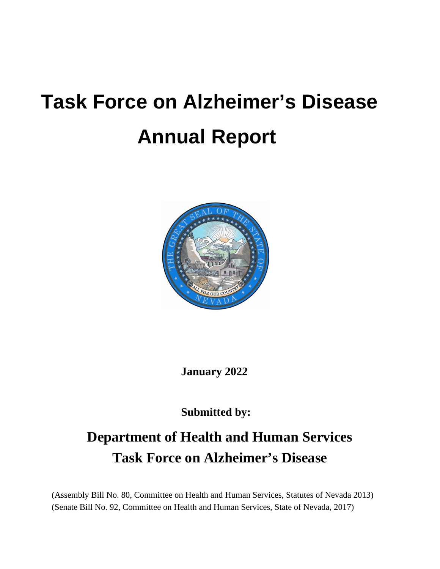# **Task Force on Alzheimer's Disease Annual Report**



**January 2022**

**Submitted by:** 

## **Department of Health and Human Services Task Force on Alzheimer's Disease**

(Assembly Bill No. 80, Committee on Health and Human Services, Statutes of Nevada 2013) (Senate Bill No. 92, Committee on Health and Human Services, State of Nevada, 2017)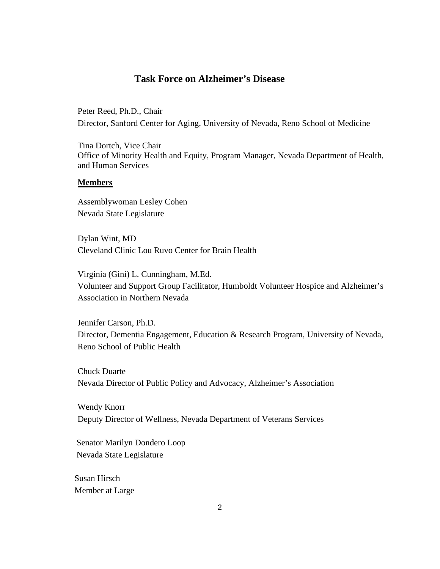#### **Task Force on Alzheimer's Disease**

Peter Reed, Ph.D., Chair Director, Sanford Center for Aging, University of Nevada, Reno School of Medicine

Tina Dortch, Vice Chair Office of Minority Health and Equity, Program Manager, Nevada Department of Health, and Human Services

#### **Members**

Assemblywoman Lesley Cohen Nevada State Legislature

Dylan Wint, MD Cleveland Clinic Lou Ruvo Center for Brain Health

Virginia (Gini) L. Cunningham, M.Ed. Volunteer and Support Group Facilitator, Humboldt Volunteer Hospice and Alzheimer's Association in Northern Nevada

Jennifer Carson, Ph.D. Director, Dementia Engagement, Education & Research Program, University of Nevada, Reno School of Public Health

Chuck Duarte Nevada Director of Public Policy and Advocacy, Alzheimer's Association

Wendy Knorr Deputy Director of Wellness, Nevada Department of Veterans Services

Senator Marilyn Dondero Loop Nevada State Legislature

Susan Hirsch Member at Large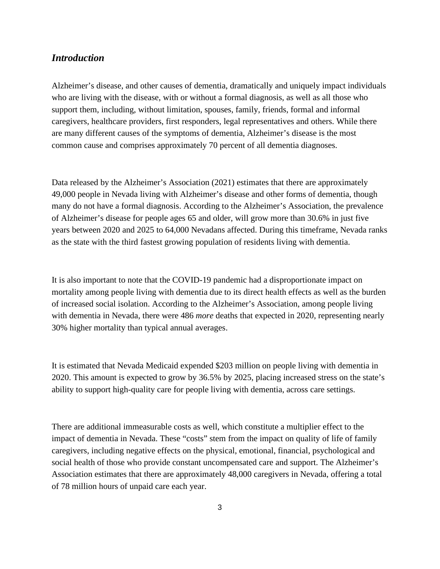#### *Introduction*

Alzheimer's disease, and other causes of dementia, dramatically and uniquely impact individuals who are living with the disease, with or without a formal diagnosis, as well as all those who support them, including, without limitation, spouses, family, friends, formal and informal caregivers, healthcare providers, first responders, legal representatives and others. While there are many different causes of the symptoms of dementia, Alzheimer's disease is the most common cause and comprises approximately 70 percent of all dementia diagnoses.

Data released by the Alzheimer's Association (2021) estimates that there are approximately 49,000 people in Nevada living with Alzheimer's disease and other forms of dementia, though many do not have a formal diagnosis. According to the Alzheimer's Association, the prevalence of Alzheimer's disease for people ages 65 and older, will grow more than 30.6% in just five years between 2020 and 2025 to 64,000 Nevadans affected. During this timeframe, Nevada ranks as the state with the third fastest growing population of residents living with dementia.

It is also important to note that the COVID-19 pandemic had a disproportionate impact on mortality among people living with dementia due to its direct health effects as well as the burden of increased social isolation. According to the Alzheimer's Association, among people living with dementia in Nevada, there were 486 *more* deaths that expected in 2020, representing nearly 30% higher mortality than typical annual averages.

It is estimated that Nevada Medicaid expended \$203 million on people living with dementia in 2020. This amount is expected to grow by 36.5% by 2025, placing increased stress on the state's ability to support high-quality care for people living with dementia, across care settings.

There are additional immeasurable costs as well, which constitute a multiplier effect to the impact of dementia in Nevada. These "costs" stem from the impact on quality of life of family caregivers, including negative effects on the physical, emotional, financial, psychological and social health of those who provide constant uncompensated care and support. The Alzheimer's Association estimates that there are approximately 48,000 caregivers in Nevada, offering a total of 78 million hours of unpaid care each year.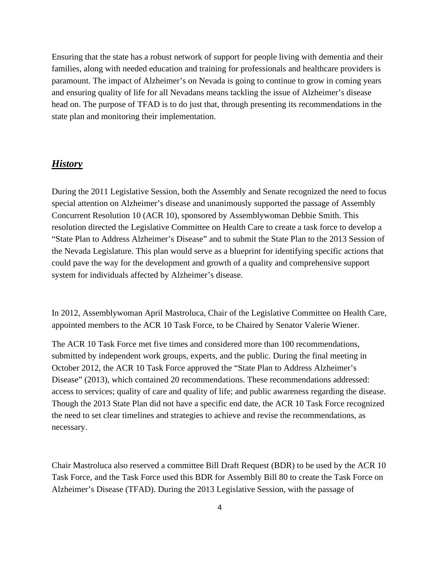Ensuring that the state has a robust network of support for people living with dementia and their families, along with needed education and training for professionals and healthcare providers is paramount. The impact of Alzheimer's on Nevada is going to continue to grow in coming years and ensuring quality of life for all Nevadans means tackling the issue of Alzheimer's disease head on. The purpose of TFAD is to do just that, through presenting its recommendations in the state plan and monitoring their implementation.

#### *History*

During the 2011 Legislative Session, both the Assembly and Senate recognized the need to focus special attention on Alzheimer's disease and unanimously supported the passage of Assembly Concurrent Resolution 10 (ACR 10), sponsored by Assemblywoman Debbie Smith. This resolution directed the Legislative Committee on Health Care to create a task force to develop a "State Plan to Address Alzheimer's Disease" and to submit the State Plan to the 2013 Session of the Nevada Legislature. This plan would serve as a blueprint for identifying specific actions that could pave the way for the development and growth of a quality and comprehensive support system for individuals affected by Alzheimer's disease.

In 2012, Assemblywoman April Mastroluca, Chair of the Legislative Committee on Health Care, appointed members to the ACR 10 Task Force, to be Chaired by Senator Valerie Wiener.

The ACR 10 Task Force met five times and considered more than 100 recommendations, submitted by independent work groups, experts, and the public. During the final meeting in October 2012, the ACR 10 Task Force approved the "State Plan to Address Alzheimer's Disease" (2013), which contained 20 recommendations. These recommendations addressed: access to services; quality of care and quality of life; and public awareness regarding the disease. Though the 2013 State Plan did not have a specific end date, the ACR 10 Task Force recognized the need to set clear timelines and strategies to achieve and revise the recommendations, as necessary.

Chair Mastroluca also reserved a committee Bill Draft Request (BDR) to be used by the ACR 10 Task Force, and the Task Force used this BDR for Assembly Bill 80 to create the Task Force on Alzheimer's Disease (TFAD). During the 2013 Legislative Session, with the passage of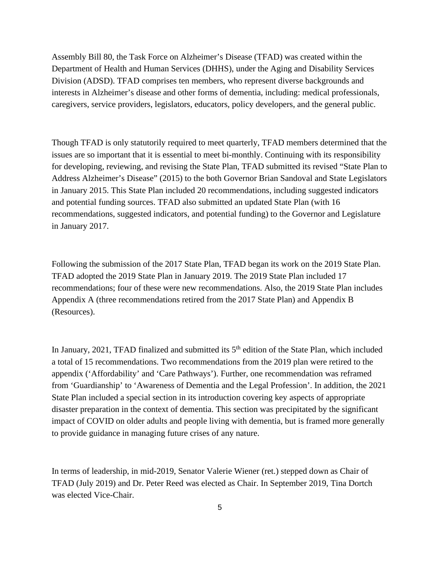Assembly Bill 80, the Task Force on Alzheimer's Disease (TFAD) was created within the Department of Health and Human Services (DHHS), under the Aging and Disability Services Division (ADSD). TFAD comprises ten members, who represent diverse backgrounds and interests in Alzheimer's disease and other forms of dementia, including: medical professionals, caregivers, service providers, legislators, educators, policy developers, and the general public.

Though TFAD is only statutorily required to meet quarterly, TFAD members determined that the issues are so important that it is essential to meet bi-monthly. Continuing with its responsibility for developing, reviewing, and revising the State Plan, TFAD submitted its revised "State Plan to Address Alzheimer's Disease" (2015) to the both Governor Brian Sandoval and State Legislators in January 2015. This State Plan included 20 recommendations, including suggested indicators and potential funding sources. TFAD also submitted an updated State Plan (with 16 recommendations, suggested indicators, and potential funding) to the Governor and Legislature in January 2017.

Following the submission of the 2017 State Plan, TFAD began its work on the 2019 State Plan. TFAD adopted the 2019 State Plan in January 2019. The 2019 State Plan included 17 recommendations; four of these were new recommendations. Also, the 2019 State Plan includes Appendix A (three recommendations retired from the 2017 State Plan) and Appendix B (Resources).

In January, 2021, TFAD finalized and submitted its 5<sup>th</sup> edition of the State Plan, which included a total of 15 recommendations. Two recommendations from the 2019 plan were retired to the appendix ('Affordability' and 'Care Pathways'). Further, one recommendation was reframed from 'Guardianship' to 'Awareness of Dementia and the Legal Profession'. In addition, the 2021 State Plan included a special section in its introduction covering key aspects of appropriate disaster preparation in the context of dementia. This section was precipitated by the significant impact of COVID on older adults and people living with dementia, but is framed more generally to provide guidance in managing future crises of any nature.

In terms of leadership, in mid-2019, Senator Valerie Wiener (ret.) stepped down as Chair of TFAD (July 2019) and Dr. Peter Reed was elected as Chair. In September 2019, Tina Dortch was elected Vice-Chair.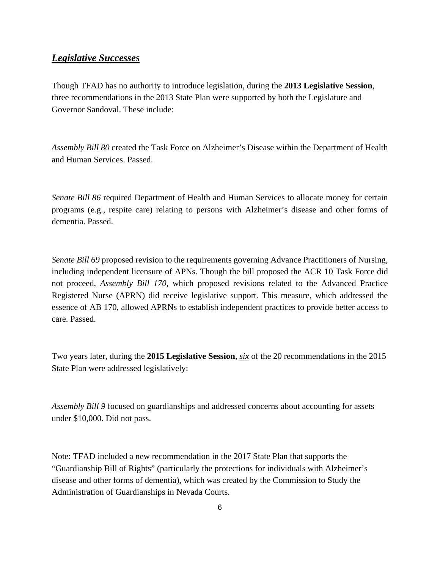### *Legislative Successes*

Though TFAD has no authority to introduce legislation, during the **2013 Legislative Session**, three recommendations in the 2013 State Plan were supported by both the Legislature and Governor Sandoval. These include:

*Assembly Bill 80* created the Task Force on Alzheimer's Disease within the Department of Health and Human Services. Passed.

*Senate Bill 86* required Department of Health and Human Services to allocate money for certain programs (e.g., respite care) relating to persons with Alzheimer's disease and other forms of dementia. Passed.

*Senate Bill 69* proposed revision to the requirements governing Advance Practitioners of Nursing, including independent licensure of APNs. Though the bill proposed the ACR 10 Task Force did not proceed, *Assembly Bill 170,* which proposed revisions related to the Advanced Practice Registered Nurse (APRN) did receive legislative support. This measure, which addressed the essence of AB 170, allowed APRNs to establish independent practices to provide better access to care. Passed.

Two years later, during the **2015 Legislative Session**, *six* of the 20 recommendations in the 2015 State Plan were addressed legislatively:

*Assembly Bill 9* focused on guardianships and addressed concerns about accounting for assets under \$10,000. Did not pass.

Note: TFAD included a new recommendation in the 2017 State Plan that supports the "Guardianship Bill of Rights" (particularly the protections for individuals with Alzheimer's disease and other forms of dementia), which was created by the Commission to Study the Administration of Guardianships in Nevada Courts.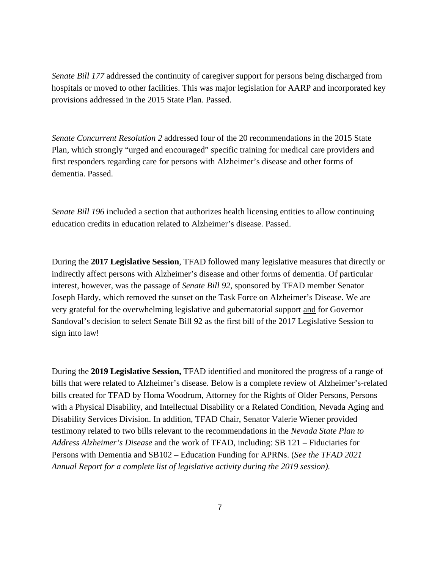*Senate Bill 177* addressed the continuity of caregiver support for persons being discharged from hospitals or moved to other facilities. This was major legislation for AARP and incorporated key provisions addressed in the 2015 State Plan. Passed.

*Senate Concurrent Resolution 2* addressed four of the 20 recommendations in the 2015 State Plan, which strongly "urged and encouraged" specific training for medical care providers and first responders regarding care for persons with Alzheimer's disease and other forms of dementia. Passed.

*Senate Bill 196* included a section that authorizes health licensing entities to allow continuing education credits in education related to Alzheimer's disease. Passed.

During the **2017 Legislative Session**, TFAD followed many legislative measures that directly or indirectly affect persons with Alzheimer's disease and other forms of dementia. Of particular interest, however, was the passage of *Senate Bill 92,* sponsored by TFAD member Senator Joseph Hardy, which removed the sunset on the Task Force on Alzheimer's Disease. We are very grateful for the overwhelming legislative and gubernatorial support and for Governor Sandoval's decision to select Senate Bill 92 as the first bill of the 2017 Legislative Session to sign into law!

During the **2019 Legislative Session,** TFAD identified and monitored the progress of a range of bills that were related to Alzheimer's disease. Below is a complete review of Alzheimer's-related bills created for TFAD by Homa Woodrum, Attorney for the Rights of Older Persons, Persons with a Physical Disability, and Intellectual Disability or a Related Condition, Nevada Aging and Disability Services Division. In addition, TFAD Chair, Senator Valerie Wiener provided testimony related to two bills relevant to the recommendations in the *Nevada State Plan to Address Alzheimer's Disease* and the work of TFAD, including: SB 121 – Fiduciaries for Persons with Dementia and SB102 – Education Funding for APRNs. (*See the TFAD 2021 Annual Report for a complete list of legislative activity during the 2019 session).*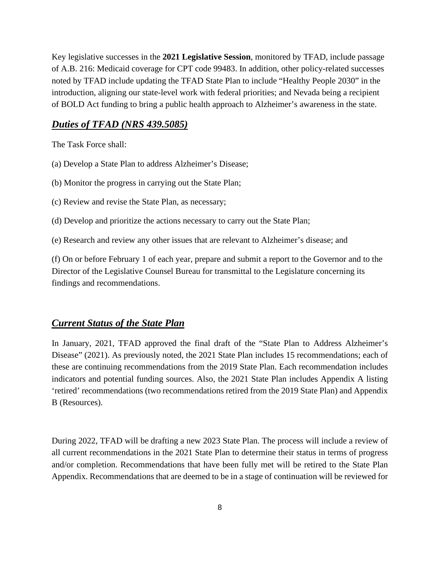Key legislative successes in the **2021 Legislative Session**, monitored by TFAD, include passage of A.B. 216: Medicaid coverage for CPT code 99483. In addition, other policy-related successes noted by TFAD include updating the TFAD State Plan to include "Healthy People 2030" in the introduction, aligning our state-level work with federal priorities; and Nevada being a recipient of BOLD Act funding to bring a public health approach to Alzheimer's awareness in the state.

#### *Duties of TFAD (NRS 439.5085)*

The Task Force shall:

(a) Develop a State Plan to address Alzheimer's Disease;

(b) Monitor the progress in carrying out the State Plan;

(c) Review and revise the State Plan, as necessary;

(d) Develop and prioritize the actions necessary to carry out the State Plan;

(e) Research and review any other issues that are relevant to Alzheimer's disease; and

(f) On or before February 1 of each year, prepare and submit a report to the Governor and to the Director of the Legislative Counsel Bureau for transmittal to the Legislature concerning its findings and recommendations.

#### *Current Status of the State Plan*

In January, 2021, TFAD approved the final draft of the "State Plan to Address Alzheimer's Disease" (2021). As previously noted, the 2021 State Plan includes 15 recommendations; each of these are continuing recommendations from the 2019 State Plan. Each recommendation includes indicators and potential funding sources. Also, the 2021 State Plan includes Appendix A listing 'retired' recommendations (two recommendations retired from the 2019 State Plan) and Appendix B (Resources).

During 2022, TFAD will be drafting a new 2023 State Plan. The process will include a review of all current recommendations in the 2021 State Plan to determine their status in terms of progress and/or completion. Recommendations that have been fully met will be retired to the State Plan Appendix. Recommendations that are deemed to be in a stage of continuation will be reviewed for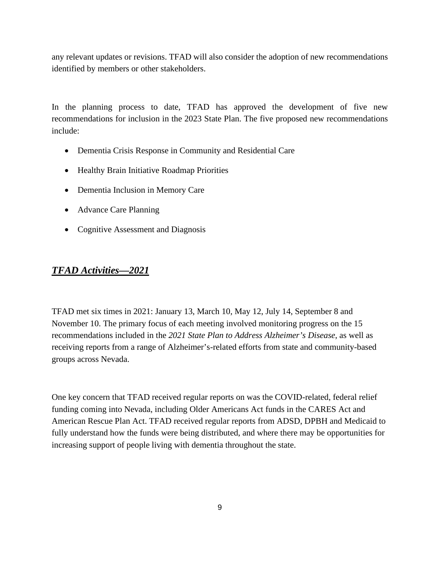any relevant updates or revisions. TFAD will also consider the adoption of new recommendations identified by members or other stakeholders.

In the planning process to date, TFAD has approved the development of five new recommendations for inclusion in the 2023 State Plan. The five proposed new recommendations include:

- Dementia Crisis Response in Community and Residential Care
- Healthy Brain Initiative Roadmap Priorities
- Dementia Inclusion in Memory Care
- Advance Care Planning
- Cognitive Assessment and Diagnosis

#### *TFAD Activities—2021*

TFAD met six times in 2021: January 13, March 10, May 12, July 14, September 8 and November 10. The primary focus of each meeting involved monitoring progress on the 15 recommendations included in the *2021 State Plan to Address Alzheimer's Disease*, as well as receiving reports from a range of Alzheimer's-related efforts from state and community-based groups across Nevada.

One key concern that TFAD received regular reports on was the COVID-related, federal relief funding coming into Nevada, including Older Americans Act funds in the CARES Act and American Rescue Plan Act. TFAD received regular reports from ADSD, DPBH and Medicaid to fully understand how the funds were being distributed, and where there may be opportunities for increasing support of people living with dementia throughout the state.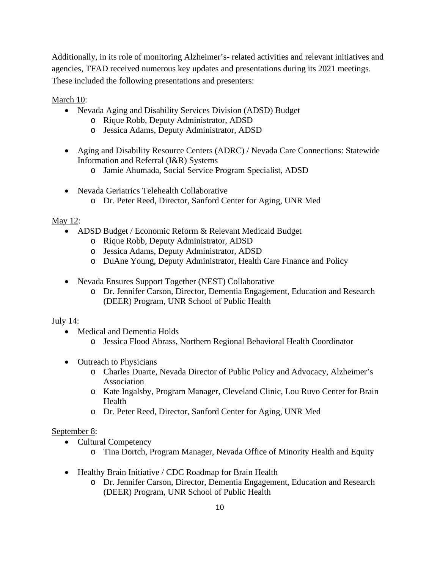Additionally, in its role of monitoring Alzheimer's- related activities and relevant initiatives and agencies, TFAD received numerous key updates and presentations during its 2021 meetings. These included the following presentations and presenters:

March 10:

- Nevada Aging and Disability Services Division (ADSD) Budget
	- o Rique Robb, Deputy Administrator, ADSD
	- o Jessica Adams, Deputy Administrator, ADSD
- Aging and Disability Resource Centers (ADRC) / Nevada Care Connections: Statewide Information and Referral (I&R) Systems
	- o Jamie Ahumada, Social Service Program Specialist, ADSD
- Nevada Geriatrics Telehealth Collaborative o Dr. Peter Reed, Director, Sanford Center for Aging, UNR Med

- May 12:
	- ADSD Budget / Economic Reform & Relevant Medicaid Budget
		- o Rique Robb, Deputy Administrator, ADSD
		- o Jessica Adams, Deputy Administrator, ADSD
		- o DuAne Young, Deputy Administrator, Health Care Finance and Policy
	- Nevada Ensures Support Together (NEST) Collaborative
		- o Dr. Jennifer Carson, Director, Dementia Engagement, Education and Research (DEER) Program, UNR School of Public Health

#### July 14:

- Medical and Dementia Holds
	- o Jessica Flood Abrass, Northern Regional Behavioral Health Coordinator
- Outreach to Physicians
	- o Charles Duarte, Nevada Director of Public Policy and Advocacy, Alzheimer's Association
	- o Kate Ingalsby, Program Manager, Cleveland Clinic, Lou Ruvo Center for Brain Health
	- o Dr. Peter Reed, Director, Sanford Center for Aging, UNR Med

#### September 8:

- Cultural Competency
	- o Tina Dortch, Program Manager, Nevada Office of Minority Health and Equity
- Healthy Brain Initiative / CDC Roadmap for Brain Health
	- o Dr. Jennifer Carson, Director, Dementia Engagement, Education and Research (DEER) Program, UNR School of Public Health